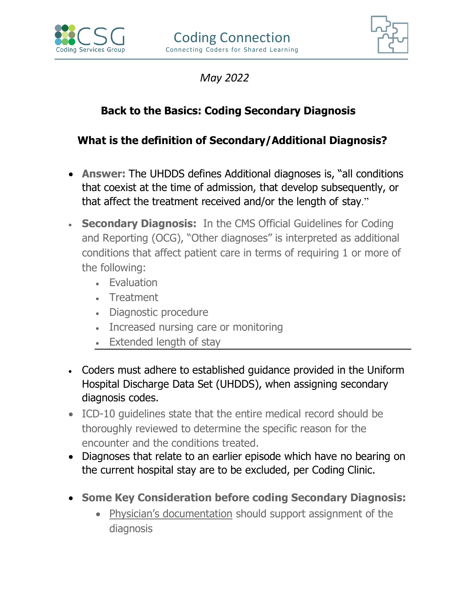



 *May 2022*

## **Back to the Basics: Coding Secondary Diagnosis**

## **What is the definition of Secondary/Additional Diagnosis?**

- **Answer:** The UHDDS defines Additional diagnoses is, "all conditions that coexist at the time of admission, that develop subsequently, or that affect the treatment received and/or the length of stay."
- **Secondary Diagnosis:** In the CMS Official Guidelines for Coding and Reporting (OCG), "Other diagnoses" is interpreted as additional conditions that affect patient care in terms of requiring 1 or more of the following:
	- Evaluation
	- Treatment
	- Diagnostic procedure
	- Increased nursing care or monitoring
	- Extended length of stay
- Coders must adhere to established guidance provided in the Uniform Hospital Discharge Data Set (UHDDS), when assigning secondary diagnosis codes.
- ICD-10 guidelines state that the entire medical record should be thoroughly reviewed to determine the specific reason for the encounter and the conditions treated.
- Diagnoses that relate to an earlier episode which have no bearing on the current hospital stay are to be excluded, per Coding Clinic.
- **Some Key Consideration before coding Secondary Diagnosis:** 
	- Physician's documentation should support assignment of the diagnosis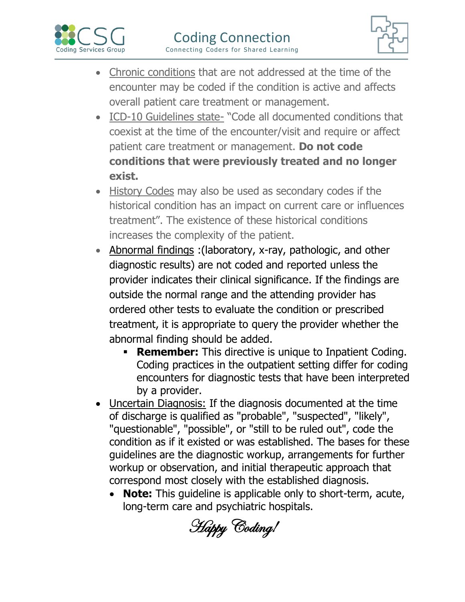



- Chronic conditions that are not addressed at the time of the encounter may be coded if the condition is active and affects overall patient care treatment or management.
- ICD-10 Guidelines state- "Code all documented conditions that coexist at the time of the encounter/visit and require or affect patient care treatment or management. **Do not code conditions that were previously treated and no longer exist.**
- History Codes may also be used as secondary codes if the historical condition has an impact on current care or influences treatment". The existence of these historical conditions increases the complexity of the patient.
- Abnormal findings :(laboratory, x-ray, pathologic, and other diagnostic results) are not coded and reported unless the provider indicates their clinical significance. If the findings are outside the normal range and the attending provider has ordered other tests to evaluate the condition or prescribed treatment, it is appropriate to query the provider whether the abnormal finding should be added.
	- **Remember:** This directive is unique to Inpatient Coding. Coding practices in the outpatient setting differ for coding encounters for diagnostic tests that have been interpreted by a provider.
- Uncertain Diagnosis: If the diagnosis documented at the time of discharge is qualified as "probable", "suspected", "likely", "questionable", "possible", or "still to be ruled out", code the condition as if it existed or was established. The bases for these guidelines are the diagnostic workup, arrangements for further workup or observation, and initial therapeutic approach that correspond most closely with the established diagnosis.
	- **Note:** This quideline is applicable only to short-term, acute, long-term care and psychiatric hospitals.